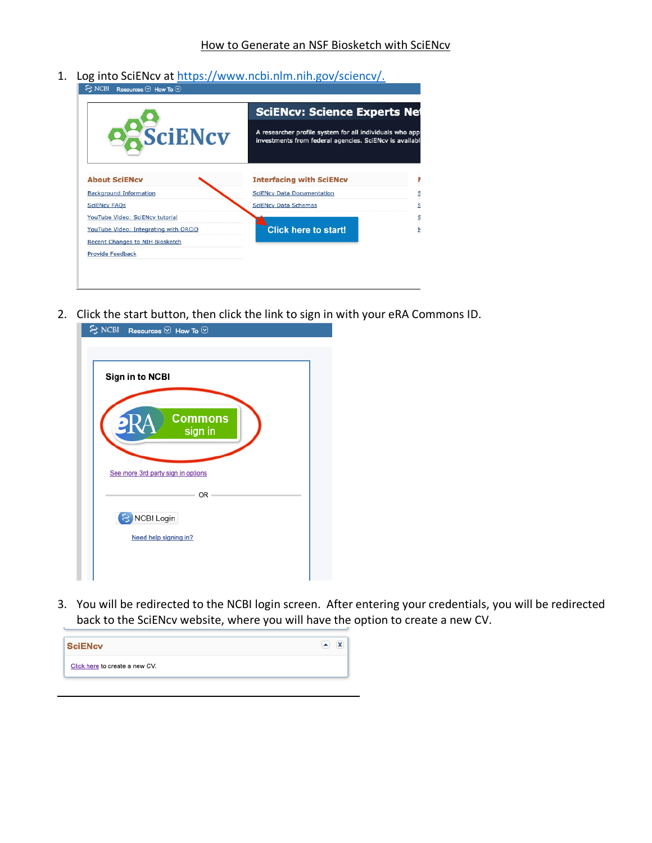1. Log into SciENcv at https://www.ncbi.nlm.nih.gov/sciencv/.

|                                        |                                                                                                                     | <b>SciENcv: Science Experts Net</b> |  |
|----------------------------------------|---------------------------------------------------------------------------------------------------------------------|-------------------------------------|--|
| <b>SciENcv</b>                         | A researcher profile system for all individuals who appl<br>investments from federal agencies. SciENcv is available |                                     |  |
| <b>About SciENcy</b>                   | <b>Interfacing with SciENcv</b>                                                                                     | R                                   |  |
| <b>Background Information</b>          | <b>SciENcv Data Documentation</b>                                                                                   | S                                   |  |
| <b>SciENcv FAQs</b>                    | <b>SciENcv Data Schemas</b>                                                                                         | S                                   |  |
| YouTube Video: SciENcv tutorial        |                                                                                                                     | $\mathsf{S}$                        |  |
| YouTube Video: Integrating with ORCiD  | <b>Click here to start!</b>                                                                                         | $\overline{\mathsf{r}}$             |  |
| <b>Recent Changes to NIH Biosketch</b> |                                                                                                                     |                                     |  |
| <b>Provide Feedback</b>                |                                                                                                                     |                                     |  |

2. Click the start button, then click the link to sign in with your eRA Commons ID.

| $\leq$ NCBI Resources $\vee$ How To $\vee$                             |
|------------------------------------------------------------------------|
| Sign in to NCBI                                                        |
| <b>Commons</b><br>eRA<br>sign in<br>See more 3rd party sign in options |
| OR -                                                                   |
| 8 NCBI Login                                                           |
| Need help signing in?                                                  |
|                                                                        |

3. You will be redirected to the NCBI login screen. After entering your credentials, you will be redirected back to the SciENcv website, where you will have the option to create a new CV.

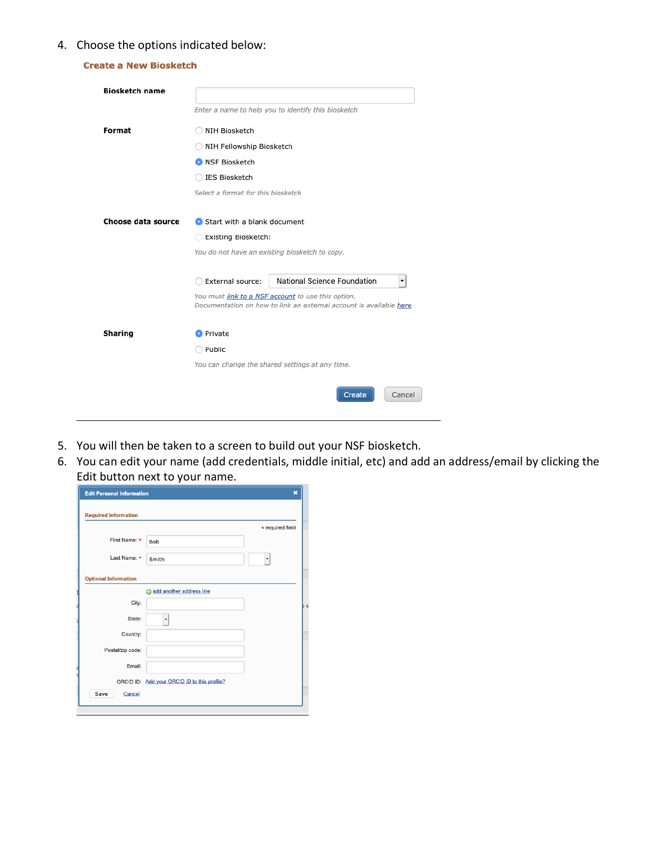## 4. Choose the options indicated below:

| <b>Create a New Biosketch</b> |                                                                                                                                                                                                                  |                                  |  |
|-------------------------------|------------------------------------------------------------------------------------------------------------------------------------------------------------------------------------------------------------------|----------------------------------|--|
| <b>Biosketch name</b>         |                                                                                                                                                                                                                  |                                  |  |
|                               | Enter a name to help you to identify this biosketch<br>NIH Biosketch<br>NIH Fellowship Biosketch<br><b>O</b> NSF Biosketch<br>IES Biosketch<br>Select a format for this biosketch<br>Start with a blank document |                                  |  |
| Format                        |                                                                                                                                                                                                                  |                                  |  |
|                               |                                                                                                                                                                                                                  |                                  |  |
|                               |                                                                                                                                                                                                                  |                                  |  |
|                               |                                                                                                                                                                                                                  |                                  |  |
|                               |                                                                                                                                                                                                                  |                                  |  |
| Choose data source            |                                                                                                                                                                                                                  |                                  |  |
|                               | Existing Biosketch:                                                                                                                                                                                              |                                  |  |
|                               | You do not have an existing biosketch to copy.                                                                                                                                                                   |                                  |  |
|                               |                                                                                                                                                                                                                  |                                  |  |
|                               | External source:                                                                                                                                                                                                 | National Science Foundation<br>▼ |  |
|                               | You must link to a NSF account to use this option.<br>Documentation on how to link an external account is available here.                                                                                        |                                  |  |
|                               |                                                                                                                                                                                                                  |                                  |  |
| <b>Sharing</b>                | <b>O</b> Private<br>Public                                                                                                                                                                                       |                                  |  |
|                               |                                                                                                                                                                                                                  |                                  |  |
|                               | You can change the shared settings at any time.                                                                                                                                                                  |                                  |  |
|                               |                                                                                                                                                                                                                  | Cancel<br><b>Create</b>          |  |

- 5. You will then be taken to a screen to build out your NSF biosketch.
- 6. You can edit your name (add credentials, middle initial, etc) and add an address/email by clicking the Edit button next to your name.

| <b>Edit Personal Information</b> | $\overline{\mathbf{x}}$                      |
|----------------------------------|----------------------------------------------|
| <b>Required Information</b>      |                                              |
|                                  | * required field                             |
| First Name: *                    | Bob                                          |
| Last Name: *                     | Smith<br>۰                                   |
| <b>Optional Information</b>      |                                              |
|                                  | add another address line<br>A                |
| City:                            |                                              |
| State:                           | $\overline{\phantom{a}}$                     |
| Country:                         |                                              |
| Postal/zip code:                 |                                              |
| Email:                           |                                              |
|                                  | ORCID iD: Add your ORCID iD to this profile? |
| Save<br>Cancel                   |                                              |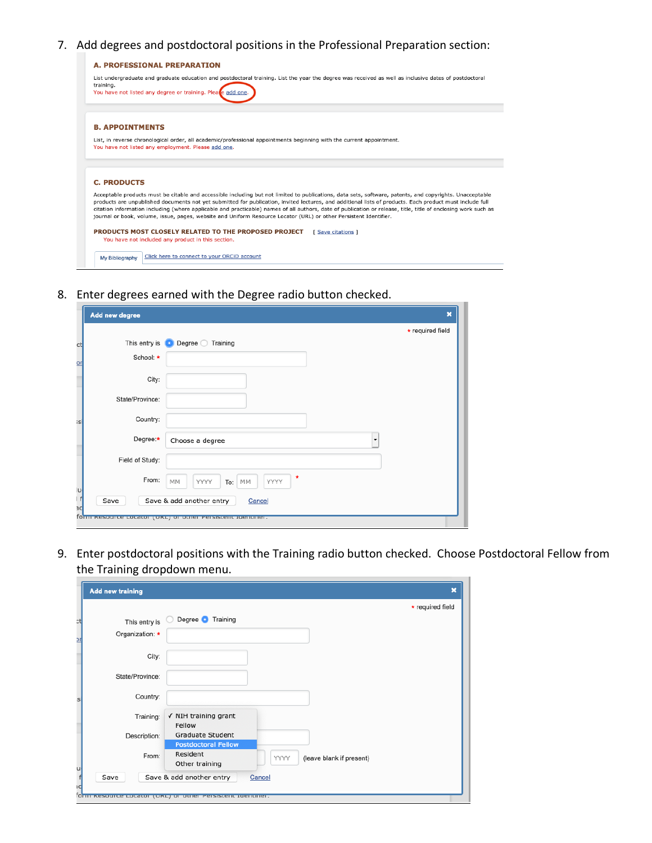7. Add degrees and postdoctoral positions in the Professional Preparation section:



8. Enter degrees earned with the Degree radio button checked.

|         | Add new degree  |                                                             | $\mathbf x$      |  |
|---------|-----------------|-------------------------------------------------------------|------------------|--|
|         |                 |                                                             | * required field |  |
| Сt      |                 | This entry is <b>O</b> Degree <b>O</b> Training             |                  |  |
| or      | School: *       |                                                             |                  |  |
|         | City:           |                                                             |                  |  |
|         | State/Province: |                                                             |                  |  |
| s       | Country:        |                                                             |                  |  |
|         | Degree:*        | Choose a degree                                             | ۰                |  |
|         | Field of Study: |                                                             |                  |  |
| u       | From:           | $\star$<br>YYYY<br>MM<br>YYYY<br>To:<br>MM                  |                  |  |
| f<br>эc | Save            | Save & add another entry<br>Cancel                          |                  |  |
|         |                 | form resource cocator (ORC) or other Persistent Identifier. |                  |  |

9. Enter postdoctoral positions with the Training radio button checked. Choose Postdoctoral Fellow from the Training dropdown menu.a T

n.

| <b>Add new training</b>      |                                                                                              | $\mathbf x$      |
|------------------------------|----------------------------------------------------------------------------------------------|------------------|
|                              |                                                                                              | * required field |
| сt<br>This entry is          | Degree Training                                                                              |                  |
| Organization: *<br><u>IC</u> |                                                                                              |                  |
| City:                        |                                                                                              |                  |
| State/Province:              |                                                                                              |                  |
| Country:                     |                                                                                              |                  |
| Training:                    | √ NIH training grant<br>Fellow                                                               |                  |
| Description:                 | <b>Graduate Student</b>                                                                      |                  |
| From:                        | <b>Postdoctoral Fellow</b><br>Resident<br>(leave blank if present)<br>YYYY<br>Other training |                  |
| $\frac{4}{5}$<br>Save<br>١c  | Save & add another entry<br>Cancel                                                           |                  |
|                              | form resource cocator (ORC) or other Persistent Identifier.                                  |                  |